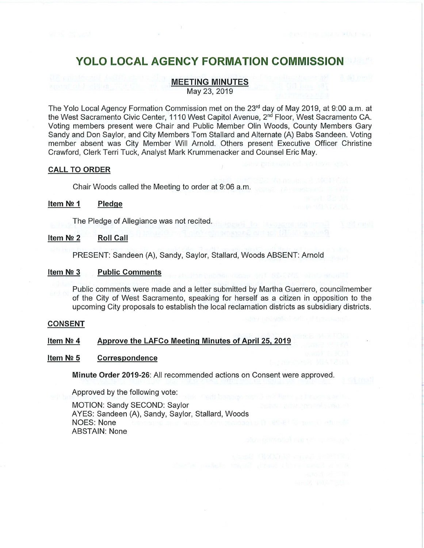# **MEETING MINUTES**

May 23, 2019

The Yolo Local Agency Formation Commission met on the 23<sup>rd</sup> day of May 2019, at 9:00 a.m. at the West Sacramento Civic Center, 1110 West Capitol Avenue, 2nd Floor, West Sacramento CA. Voting members present were Chair and Public Member Olin Woods, County Members Gary Sandy and Don Saylor, and City Members Tom Stallard and Alternate (A) Babs Sandeen. Voting member absent was City Member Will Arnold. Others present Executive Officer Christine Crawford, Clerk Terri Tuck, Analyst Mark Krummenacker and Counsel Eric May.

## **CALL TO ORDER**

Chair Woods called the Meeting to order at 9:06 a.m.

#### **Item N2 1 Pledge**

The Pledge of Allegiance was not recited.

## **Item N2 2 Roll Call**

PRESENT: Sandeen (A), Sandy, Saylor, Stallard, Woods ABSENT: Arnold

#### **Item N2 3 Public Comments**

Public comments were made and a letter submitted by Martha Guerrero, councilmember of the City of West Sacramento, speaking for herself as a citizen in opposition to the upcoming City proposals to establish the local reclamation districts as subsidiary districts.

#### **CONSENT**

## **Item N2 4 Approve the LAFCo Meeting Minutes of April 25, 2019**

#### **Item N2 5 Correspondence**

**Minute Order 2019-26:** All recommended actions on Consent were approved.

Approved by the following vote:

MOTION: Sandy SECOND: Saylor AYES: Sandeen (A), Sandy, Saylor, Stallard, Woods NOES: None ABSTAIN: None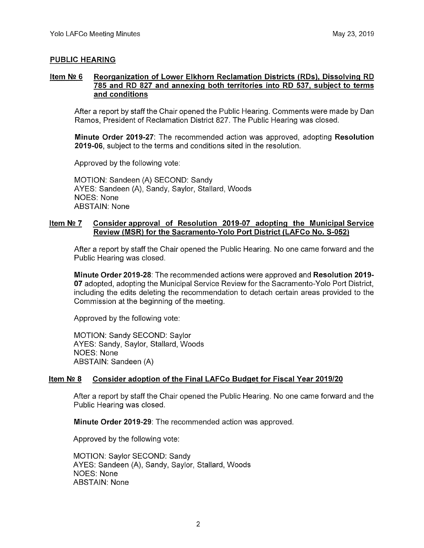# **PUBLIC HEARING**

## **Item N!! 6 Reorganization of Lower Elkhorn Reclamation Districts (RDs), Dissolving RD 785 and RD 827 and annexing both territories into RD 537, subject to terms and conditions**

After a report by staff the Chair opened the Public Hearing. Comments were made by Dan Ramos, President of Reclamation District 827. The Public Hearing was closed.

**Minute Order 2019-27:** The recommended action was approved, adopting **Resolution 2019-06,** subject to the terms and conditions sited in the resolution.

Approved by the following vote:

MOTION: Sandeen (A) SECOND: Sandy AYES: Sandeen (A), Sandy, Saylor, Stallard, Woods NOES: None ABSTAIN: None

# **Item N2 7 Consider approval of Resolution 2019-07 adopting the Municipal Service Review (MSR) for the Sacramento-Yolo Port District (LAFCo No. S-052)**

After a report by staff the Chair opened the Public Hearing. No one came forward and the Public Hearing was closed.

**Minute Order 2019-28:** The recommended actions were approved and **Resolution 2019- 07** adopted, adopting the Municipal Service Review for the Sacramento-Yolo Port District, including the edits deleting the recommendation to detach certain areas provided to the Commission at the beginning of the meeting.

Approved by the following vote:

MOTION: Sandy SECOND: Saylor AYES: Sandy, Saylor, Stallard, Woods NOES: None ABSTAIN: Sandeen (A)

# **Item N2 8 Consider adoption of the Final LAFCo Budget for Fiscal Year 2019/20**

After a report by staff the Chair opened the Public Hearing. No one came forward and the Public Hearing was closed.

**Minute Order 2019-29:** The recommended action was approved.

Approved by the following vote:

MOTION: Saylor SECOND: Sandy AYES: Sandeen (A), Sandy, Saylor, Stallard, Woods NOES: None ABSTAIN: None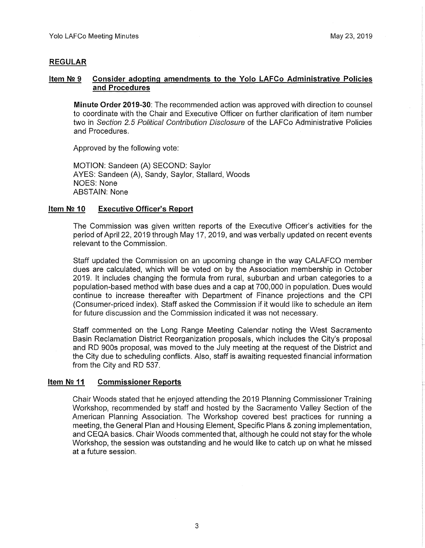# **REGULAR**

## **Item N2 9 Consider adopting amendments to the Yolo LAFCo Administrative Policies and Procedures**

**Minute Order 2019-30:** The recommended action was approved with direction to counsel to coordinate with the Chair and Executive Officer on further clarification of item number two in *Section 2.5 Political Contribution Disclosure* of the LAFCo Administrative Policies and Procedures.

Approved by the following vote:

MOTION: Sandeen (A) SECOND: Saylor AYES: Sandeen (A), Sandy, Saylor, Stallard, Woods NOES: None ABSTAIN: None

#### **Item N2 10 Executive Officer's Report**

The Commission was given written reports of the Executive Officer's activities for the period of April 22, 2019 through May 17, 2019, and was verbally updated on recent events relevant to the Commission.

Staff updated the Commission on an upcoming change in the way CALAFCO member dues are calculated, which will be voted on by the Association membership in October 2019. It includes changing the formula from rural, suburban and urban categories to a population-based method with base dues and a cap at 700,000 in population. Dues would continue to increase thereafter with Department of Finance projections and the CPI (Consumer-priced index). Staff asked the Commission if it would like to schedule an item for future discussion and the Commission indicated it was not necessary.

Staff commented on the Long Range Meeting Calendar noting the West Sacramento Basin Reclamation District Reorganization proposals, which includes the City's proposal and RD 900s proposal, was moved to the July meeting at the request of the District and the City due to scheduling conflicts. Also, staff is awaiting requested financial information from the City and RD 537.

## **Item N2 11 Commissioner Reports**

Chair Woods stated that he enjoyed attending the 2019 Planning Commissioner Training Workshop, recommended by staff and hosted by the Sacramento Valley Section of the American Planning Association. The Workshop covered best practices for running a meeting, the General Plan and Housing Element, Specific Plans & zoning implementation, and CEQA basics. Chair Woods commented that, although he could not stay for the whole Workshop, the session was outstanding and he would like to catch up on what he missed at a future session.